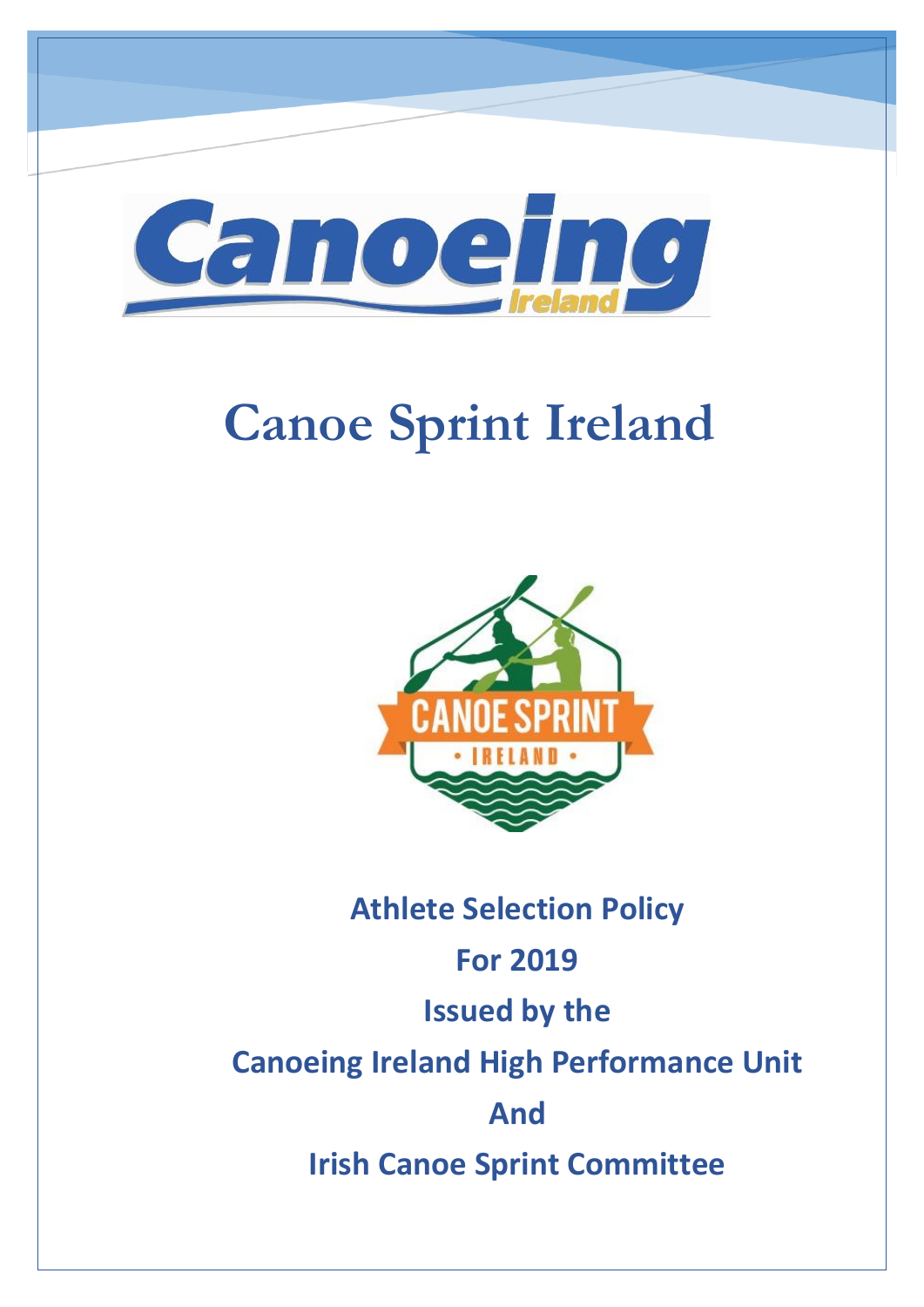

# **Canoe Sprint Ireland**



## **Athlete Selection Policy For 2019 Issued by the Canoeing Ireland High Performance Unit And Irish Canoe Sprint Committee**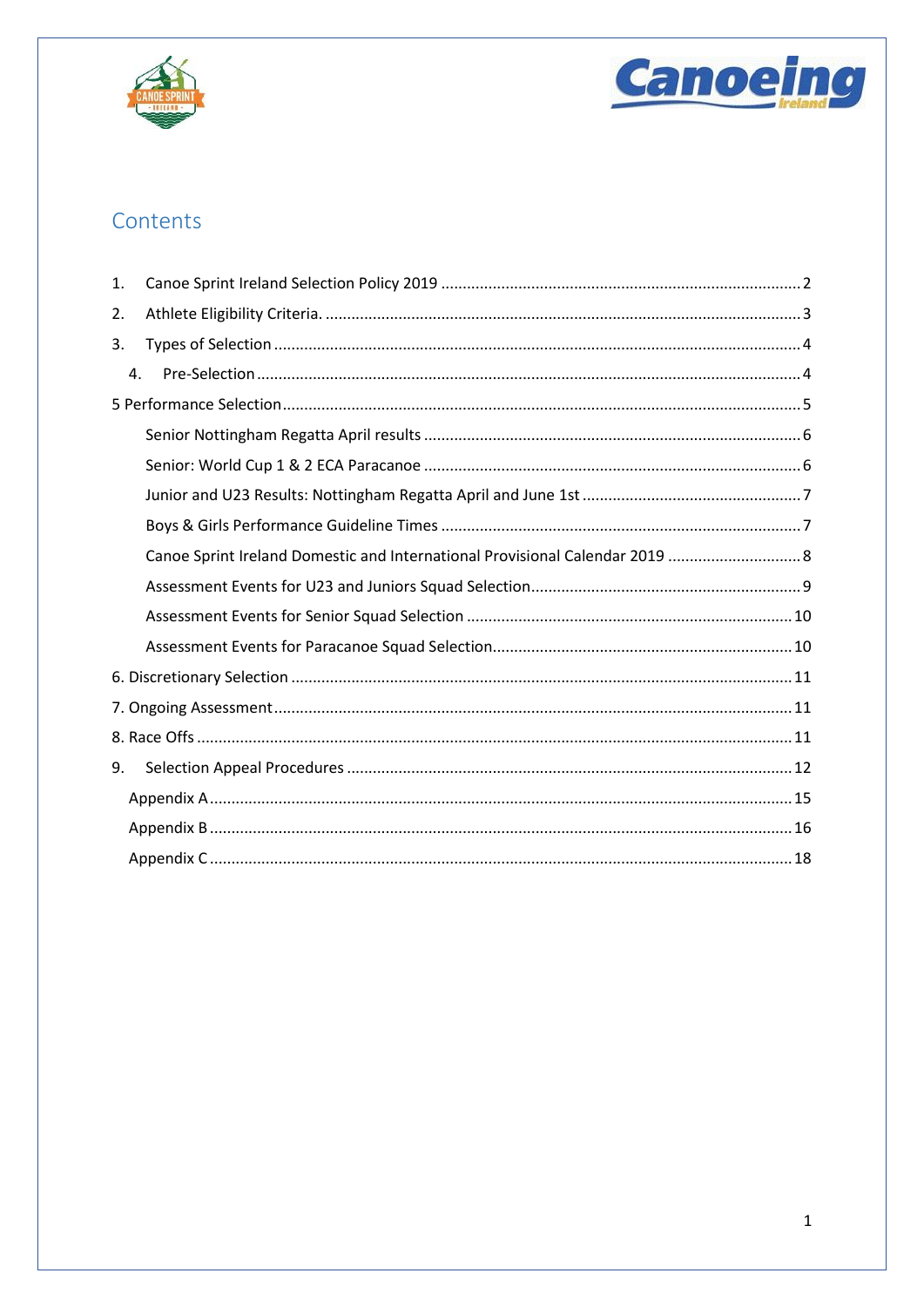



## Contents

| 1. |                                                                              |
|----|------------------------------------------------------------------------------|
| 2. |                                                                              |
| 3. |                                                                              |
| 4. |                                                                              |
|    |                                                                              |
|    |                                                                              |
|    |                                                                              |
|    |                                                                              |
|    |                                                                              |
|    | Canoe Sprint Ireland Domestic and International Provisional Calendar 2019  8 |
|    |                                                                              |
|    |                                                                              |
|    |                                                                              |
|    |                                                                              |
|    |                                                                              |
|    |                                                                              |
| 9. |                                                                              |
|    |                                                                              |
|    |                                                                              |
|    |                                                                              |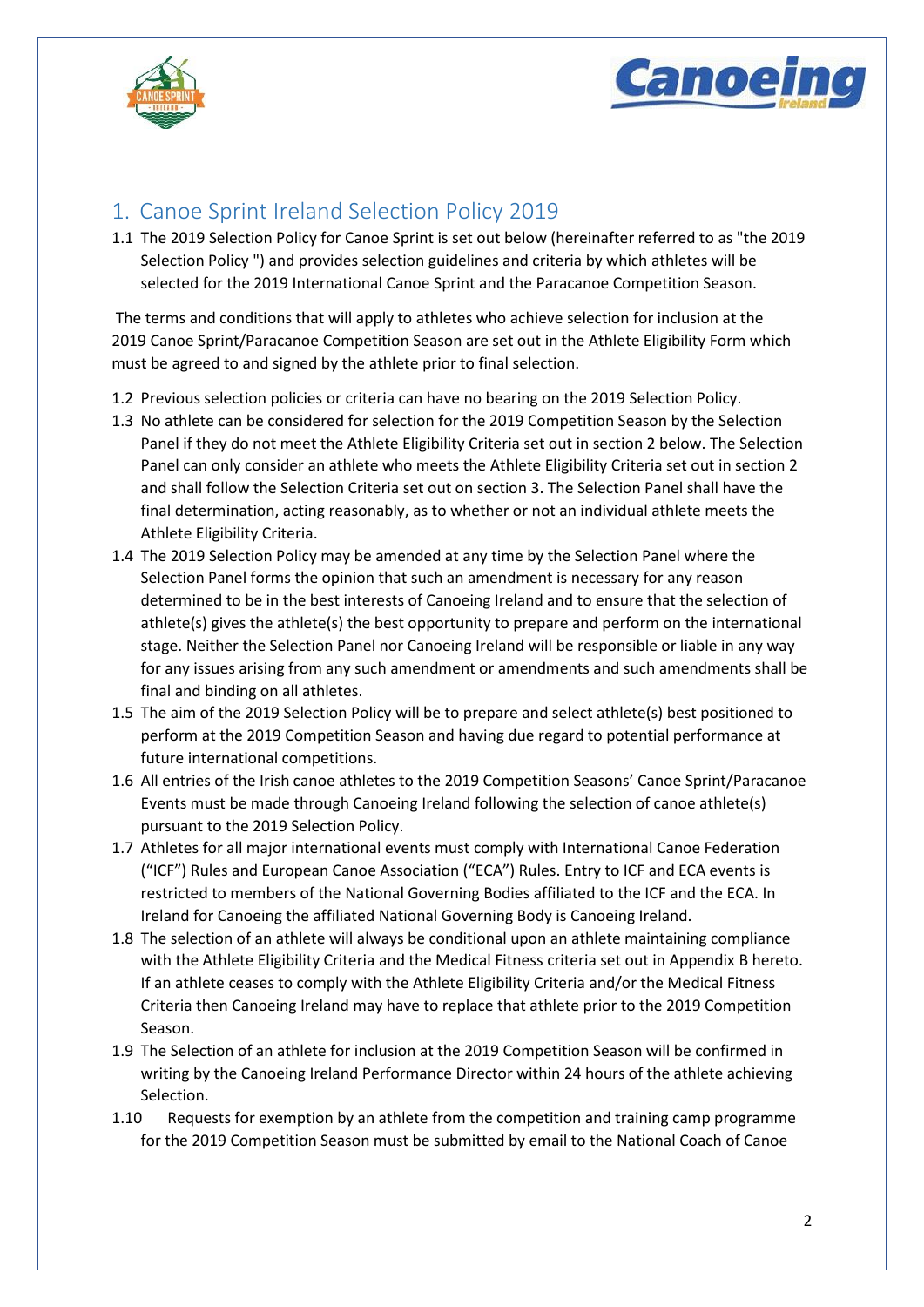



## <span id="page-2-0"></span>1. Canoe Sprint Ireland Selection Policy 2019

1.1 The 2019 Selection Policy for Canoe Sprint is set out below (hereinafter referred to as "the 2019 Selection Policy ") and provides selection guidelines and criteria by which athletes will be selected for the 2019 International Canoe Sprint and the Paracanoe Competition Season.

The terms and conditions that will apply to athletes who achieve selection for inclusion at the 2019 Canoe Sprint/Paracanoe Competition Season are set out in the Athlete Eligibility Form which must be agreed to and signed by the athlete prior to final selection.

- 1.2 Previous selection policies or criteria can have no bearing on the 2019 Selection Policy.
- 1.3 No athlete can be considered for selection for the 2019 Competition Season by the Selection Panel if they do not meet the Athlete Eligibility Criteria set out in section 2 below. The Selection Panel can only consider an athlete who meets the Athlete Eligibility Criteria set out in section 2 and shall follow the Selection Criteria set out on section 3. The Selection Panel shall have the final determination, acting reasonably, as to whether or not an individual athlete meets the Athlete Eligibility Criteria.
- 1.4 The 2019 Selection Policy may be amended at any time by the Selection Panel where the Selection Panel forms the opinion that such an amendment is necessary for any reason determined to be in the best interests of Canoeing Ireland and to ensure that the selection of athlete(s) gives the athlete(s) the best opportunity to prepare and perform on the international stage. Neither the Selection Panel nor Canoeing Ireland will be responsible or liable in any way for any issues arising from any such amendment or amendments and such amendments shall be final and binding on all athletes.
- 1.5 The aim of the 2019 Selection Policy will be to prepare and select athlete(s) best positioned to perform at the 2019 Competition Season and having due regard to potential performance at future international competitions.
- 1.6 All entries of the Irish canoe athletes to the 2019 Competition Seasons' Canoe Sprint/Paracanoe Events must be made through Canoeing Ireland following the selection of canoe athlete(s) pursuant to the 2019 Selection Policy.
- 1.7 Athletes for all major international events must comply with International Canoe Federation ("ICF") Rules and European Canoe Association ("ECA") Rules. Entry to ICF and ECA events is restricted to members of the National Governing Bodies affiliated to the ICF and the ECA. In Ireland for Canoeing the affiliated National Governing Body is Canoeing Ireland.
- 1.8 The selection of an athlete will always be conditional upon an athlete maintaining compliance with the Athlete Eligibility Criteria and the Medical Fitness criteria set out in Appendix B hereto. If an athlete ceases to comply with the Athlete Eligibility Criteria and/or the Medical Fitness Criteria then Canoeing Ireland may have to replace that athlete prior to the 2019 Competition Season.
- 1.9 The Selection of an athlete for inclusion at the 2019 Competition Season will be confirmed in writing by the Canoeing Ireland Performance Director within 24 hours of the athlete achieving Selection.
- 1.10 Requests for exemption by an athlete from the competition and training camp programme for the 2019 Competition Season must be submitted by email to the National Coach of Canoe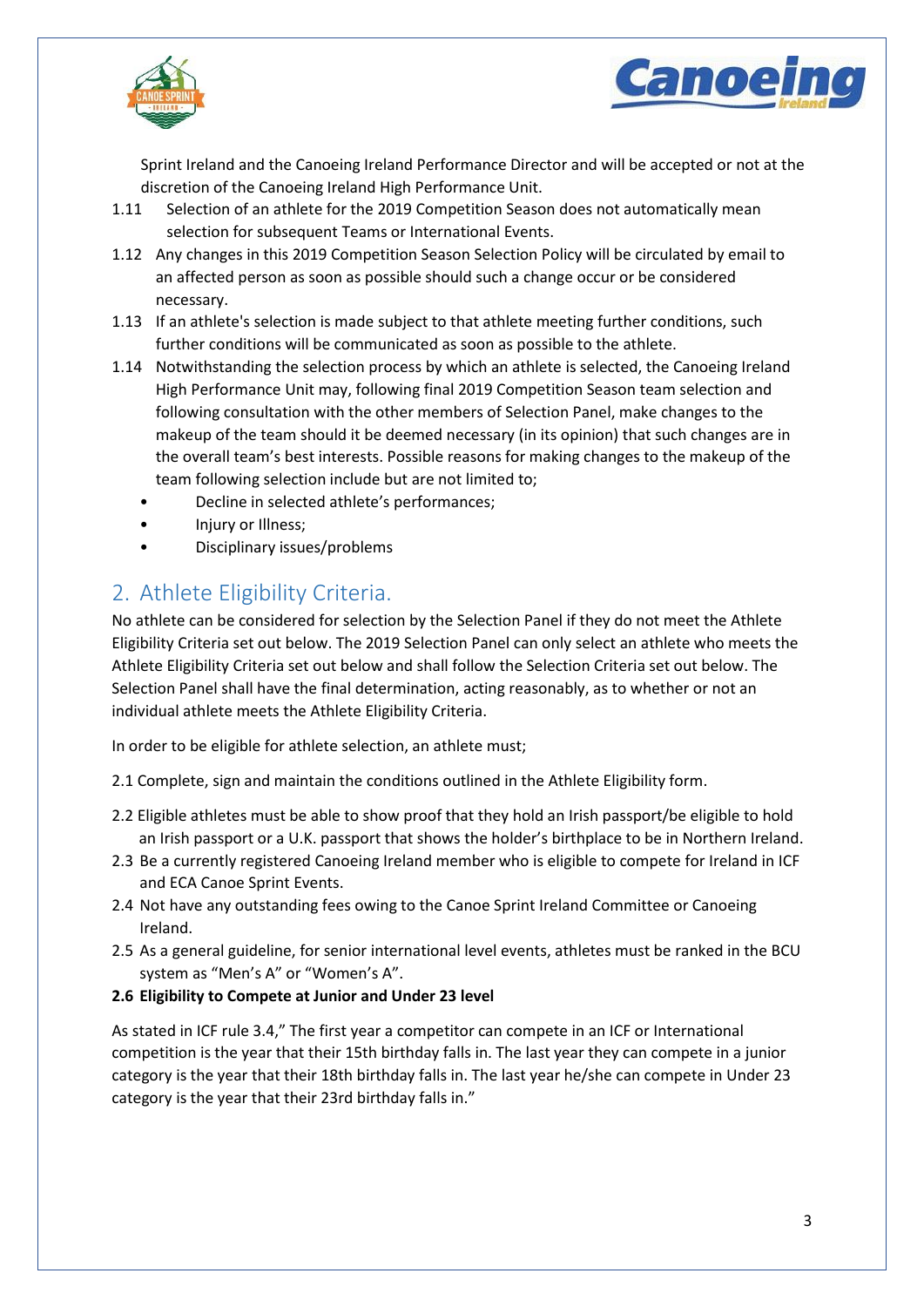



Sprint Ireland and the Canoeing Ireland Performance Director and will be accepted or not at the discretion of the Canoeing Ireland High Performance Unit.

- 1.11 Selection of an athlete for the 2019 Competition Season does not automatically mean selection for subsequent Teams or International Events.
- 1.12 Any changes in this 2019 Competition Season Selection Policy will be circulated by email to an affected person as soon as possible should such a change occur or be considered necessary.
- 1.13 If an athlete's selection is made subject to that athlete meeting further conditions, such further conditions will be communicated as soon as possible to the athlete.
- 1.14 Notwithstanding the selection process by which an athlete is selected, the Canoeing Ireland High Performance Unit may, following final 2019 Competition Season team selection and following consultation with the other members of Selection Panel, make changes to the makeup of the team should it be deemed necessary (in its opinion) that such changes are in the overall team's best interests. Possible reasons for making changes to the makeup of the team following selection include but are not limited to;
	- Decline in selected athlete's performances;
	- Injury or Illness;
	- Disciplinary issues/problems

## <span id="page-3-0"></span>2. Athlete Eligibility Criteria.

No athlete can be considered for selection by the Selection Panel if they do not meet the Athlete Eligibility Criteria set out below. The 2019 Selection Panel can only select an athlete who meets the Athlete Eligibility Criteria set out below and shall follow the Selection Criteria set out below. The Selection Panel shall have the final determination, acting reasonably, as to whether or not an individual athlete meets the Athlete Eligibility Criteria.

In order to be eligible for athlete selection, an athlete must;

- 2.1 Complete, sign and maintain the conditions outlined in the Athlete Eligibility form.
- 2.2 Eligible athletes must be able to show proof that they hold an Irish passport/be eligible to hold an Irish passport or a U.K. passport that shows the holder's birthplace to be in Northern Ireland.
- 2.3 Be a currently registered Canoeing Ireland member who is eligible to compete for Ireland in ICF and ECA Canoe Sprint Events.
- 2.4 Not have any outstanding fees owing to the Canoe Sprint Ireland Committee or Canoeing Ireland.
- 2.5 As a general guideline, for senior international level events, athletes must be ranked in the BCU system as "Men's A" or "Women's A".
- **2.6 Eligibility to Compete at Junior and Under 23 level**

As stated in ICF rule 3.4," The first year a competitor can compete in an ICF or International competition is the year that their 15th birthday falls in. The last year they can compete in a junior category is the year that their 18th birthday falls in. The last year he/she can compete in Under 23 category is the year that their 23rd birthday falls in."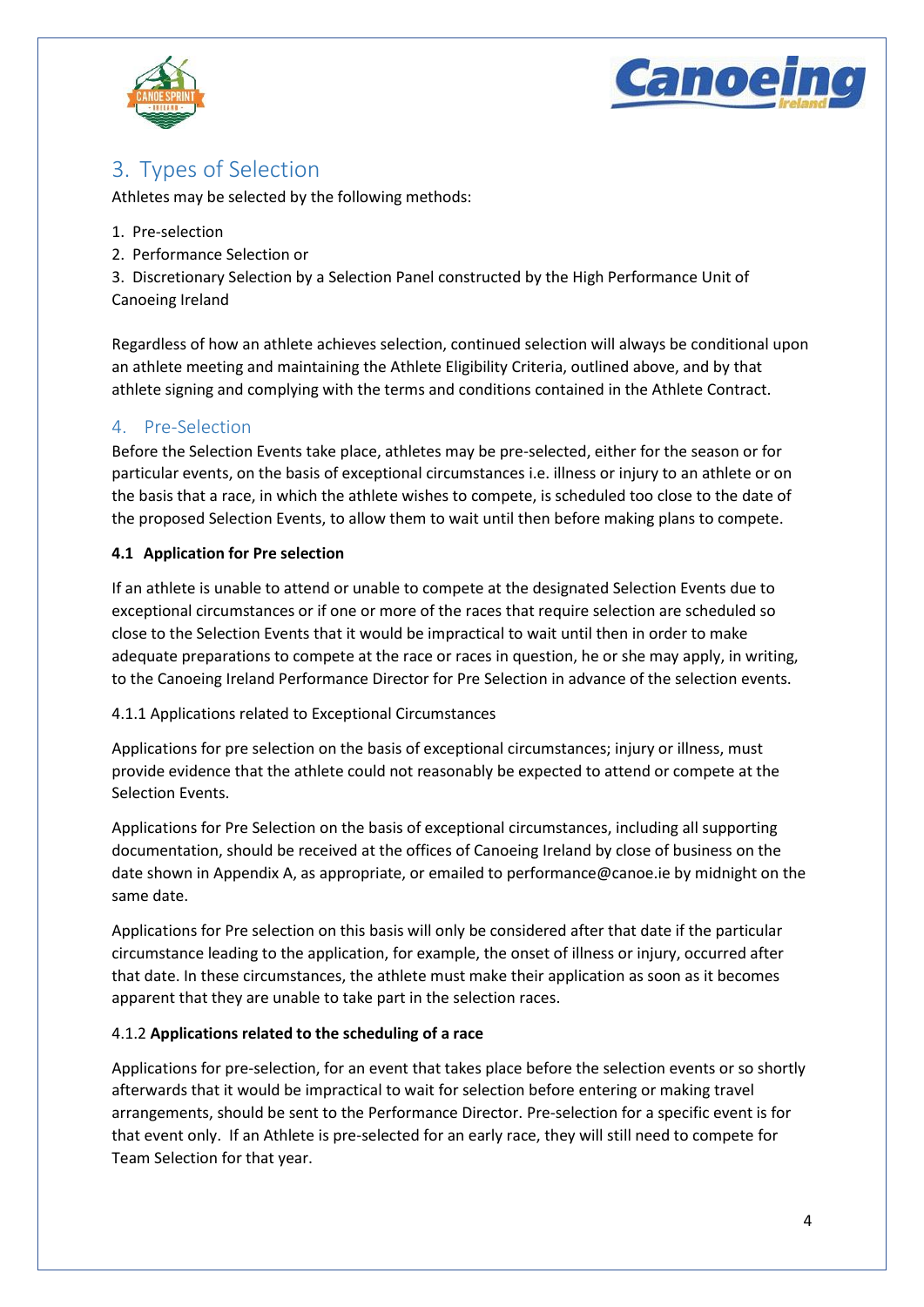



## <span id="page-4-0"></span>3. Types of Selection

Athletes may be selected by the following methods:

- 1. Pre-selection
- 2. Performance Selection or

3. Discretionary Selection by a Selection Panel constructed by the High Performance Unit of Canoeing Ireland

Regardless of how an athlete achieves selection, continued selection will always be conditional upon an athlete meeting and maintaining the Athlete Eligibility Criteria, outlined above, and by that athlete signing and complying with the terms and conditions contained in the Athlete Contract.

## <span id="page-4-1"></span>4. Pre-Selection

Before the Selection Events take place, athletes may be pre-selected, either for the season or for particular events, on the basis of exceptional circumstances i.e. illness or injury to an athlete or on the basis that a race, in which the athlete wishes to compete, is scheduled too close to the date of the proposed Selection Events, to allow them to wait until then before making plans to compete.

## **4.1 Application for Pre selection**

If an athlete is unable to attend or unable to compete at the designated Selection Events due to exceptional circumstances or if one or more of the races that require selection are scheduled so close to the Selection Events that it would be impractical to wait until then in order to make adequate preparations to compete at the race or races in question, he or she may apply, in writing, to the Canoeing Ireland Performance Director for Pre Selection in advance of the selection events.

## 4.1.1 Applications related to Exceptional Circumstances

Applications for pre selection on the basis of exceptional circumstances; injury or illness, must provide evidence that the athlete could not reasonably be expected to attend or compete at the Selection Events.

Applications for Pre Selection on the basis of exceptional circumstances, including all supporting documentation, should be received at the offices of Canoeing Ireland by close of business on the date shown in Appendix A, as appropriate, or emailed to performance@canoe.ie by midnight on the same date.

Applications for Pre selection on this basis will only be considered after that date if the particular circumstance leading to the application, for example, the onset of illness or injury, occurred after that date. In these circumstances, the athlete must make their application as soon as it becomes apparent that they are unable to take part in the selection races.

## 4.1.2 **Applications related to the scheduling of a race**

Applications for pre-selection, for an event that takes place before the selection events or so shortly afterwards that it would be impractical to wait for selection before entering or making travel arrangements, should be sent to the Performance Director. Pre-selection for a specific event is for that event only. If an Athlete is pre-selected for an early race, they will still need to compete for Team Selection for that year.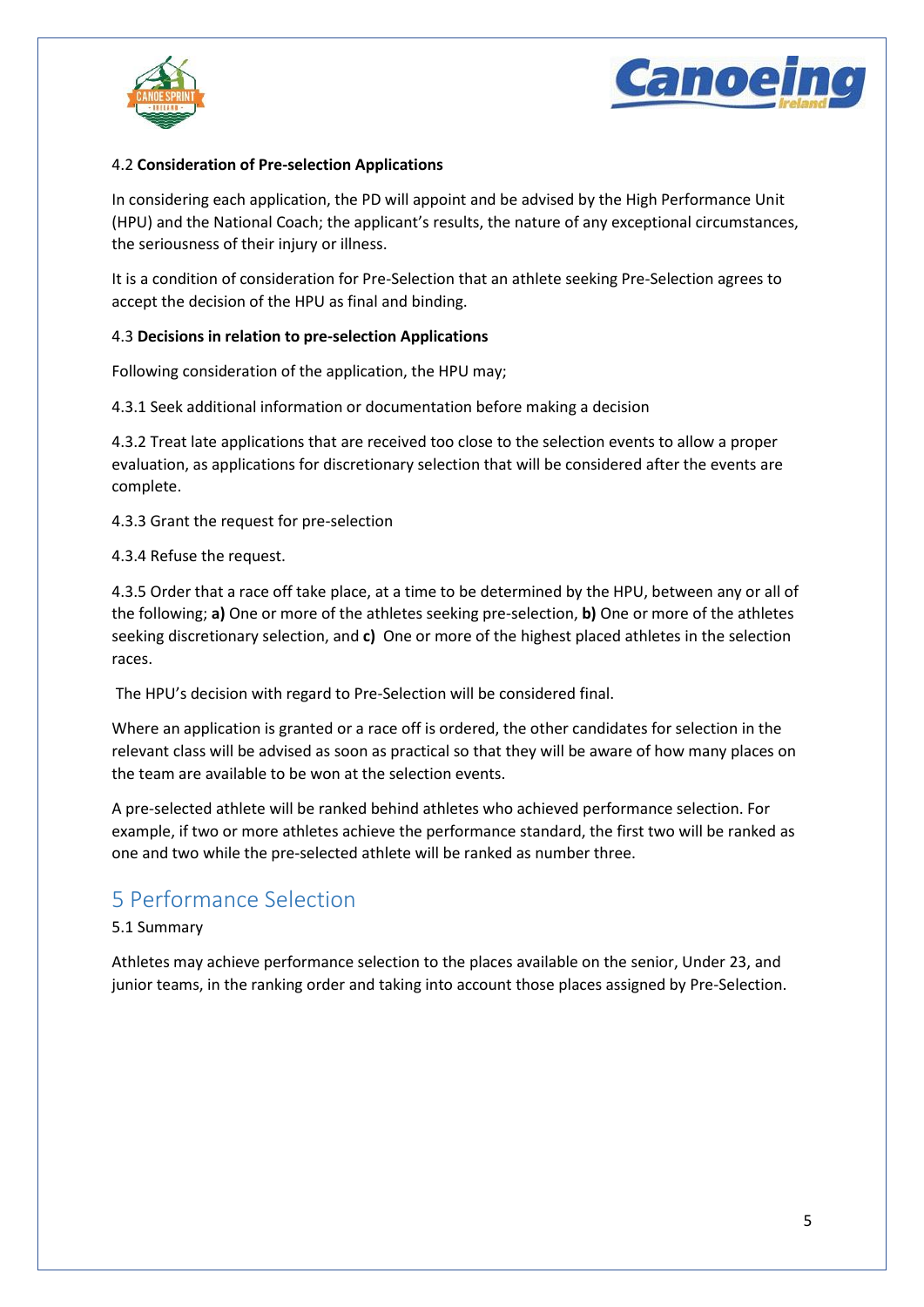



#### 4.2 **Consideration of Pre-selection Applications**

In considering each application, the PD will appoint and be advised by the High Performance Unit (HPU) and the National Coach; the applicant's results, the nature of any exceptional circumstances, the seriousness of their injury or illness.

It is a condition of consideration for Pre-Selection that an athlete seeking Pre-Selection agrees to accept the decision of the HPU as final and binding.

#### 4.3 **Decisions in relation to pre-selection Applications**

Following consideration of the application, the HPU may;

4.3.1 Seek additional information or documentation before making a decision

4.3.2 Treat late applications that are received too close to the selection events to allow a proper evaluation, as applications for discretionary selection that will be considered after the events are complete.

4.3.3 Grant the request for pre-selection

4.3.4 Refuse the request.

4.3.5 Order that a race off take place, at a time to be determined by the HPU, between any or all of the following; **a)** One or more of the athletes seeking pre-selection, **b)** One or more of the athletes seeking discretionary selection, and **c)** One or more of the highest placed athletes in the selection races.

The HPU's decision with regard to Pre-Selection will be considered final.

Where an application is granted or a race off is ordered, the other candidates for selection in the relevant class will be advised as soon as practical so that they will be aware of how many places on the team are available to be won at the selection events.

A pre-selected athlete will be ranked behind athletes who achieved performance selection. For example, if two or more athletes achieve the performance standard, the first two will be ranked as one and two while the pre-selected athlete will be ranked as number three.

## <span id="page-5-0"></span>5 Performance Selection

#### 5.1 Summary

Athletes may achieve performance selection to the places available on the senior, Under 23, and junior teams, in the ranking order and taking into account those places assigned by Pre-Selection.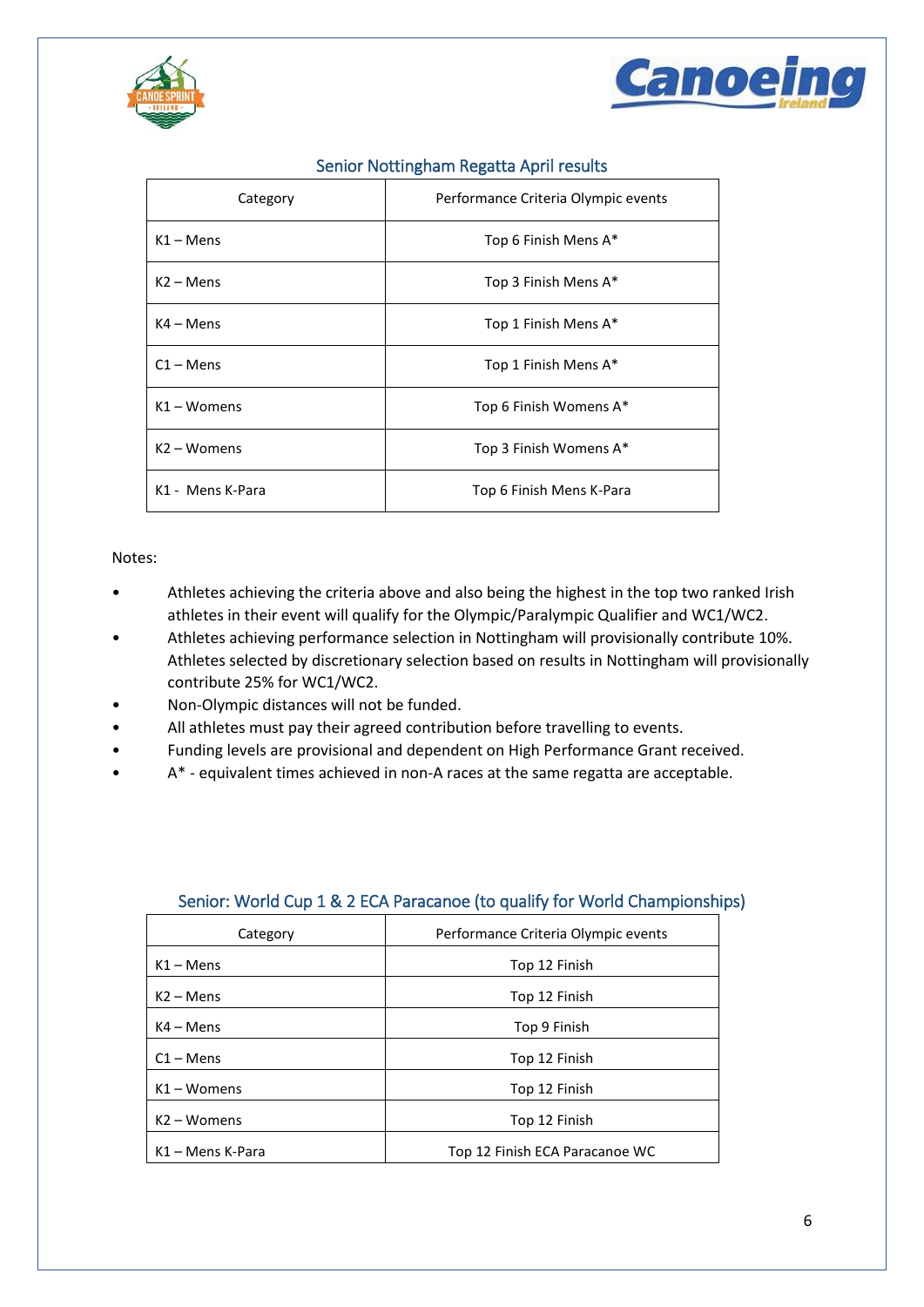



<span id="page-6-0"></span>

| Category              | Performance Criteria Olympic events |
|-----------------------|-------------------------------------|
| $K1 -$ Mens           | Top 6 Finish Mens A*                |
| $K2 -$ Mens           | Top 3 Finish Mens A*                |
| $K4 - Mens$           | Top 1 Finish Mens A*                |
| $C1 -$ Mens           | Top 1 Finish Mens A*                |
| $K1 - W$ omens        | Top 6 Finish Womens A*              |
| $K2 - W \text{omens}$ | Top 3 Finish Womens A*              |
| K1 - Mens K-Para      | Top 6 Finish Mens K-Para            |

## Senior Nottingham Regatta April results

#### Notes:

- Athletes achieving the criteria above and also being the highest in the top two ranked Irish athletes in their event will qualify for the Olympic/Paralympic Qualifier and WC1/WC2.
- Athletes achieving performance selection in Nottingham will provisionally contribute 10%. Athletes selected by discretionary selection based on results in Nottingham will provisionally contribute 25% for WC1/WC2.
- Non-Olympic distances will not be funded.
- All athletes must pay their agreed contribution before travelling to events.
- Funding levels are provisional and dependent on High Performance Grant received.
- A\* equivalent times achieved in non-A races at the same regatta are acceptable.

<span id="page-6-1"></span>

| Category              | Performance Criteria Olympic events |
|-----------------------|-------------------------------------|
| $K1 -$ Mens           | Top 12 Finish                       |
| $K2 -$ Mens           | Top 12 Finish                       |
| $K4 - Mens$           | Top 9 Finish                        |
| $C1 -$ Mens           | Top 12 Finish                       |
| $K1 - W$ omens        | Top 12 Finish                       |
| $K2 - W \text{omens}$ | Top 12 Finish                       |
| K1 – Mens K-Para      | Top 12 Finish ECA Paracanoe WC      |

## Senior: World Cup 1 & 2 ECA Paracanoe (to qualify for World Championships)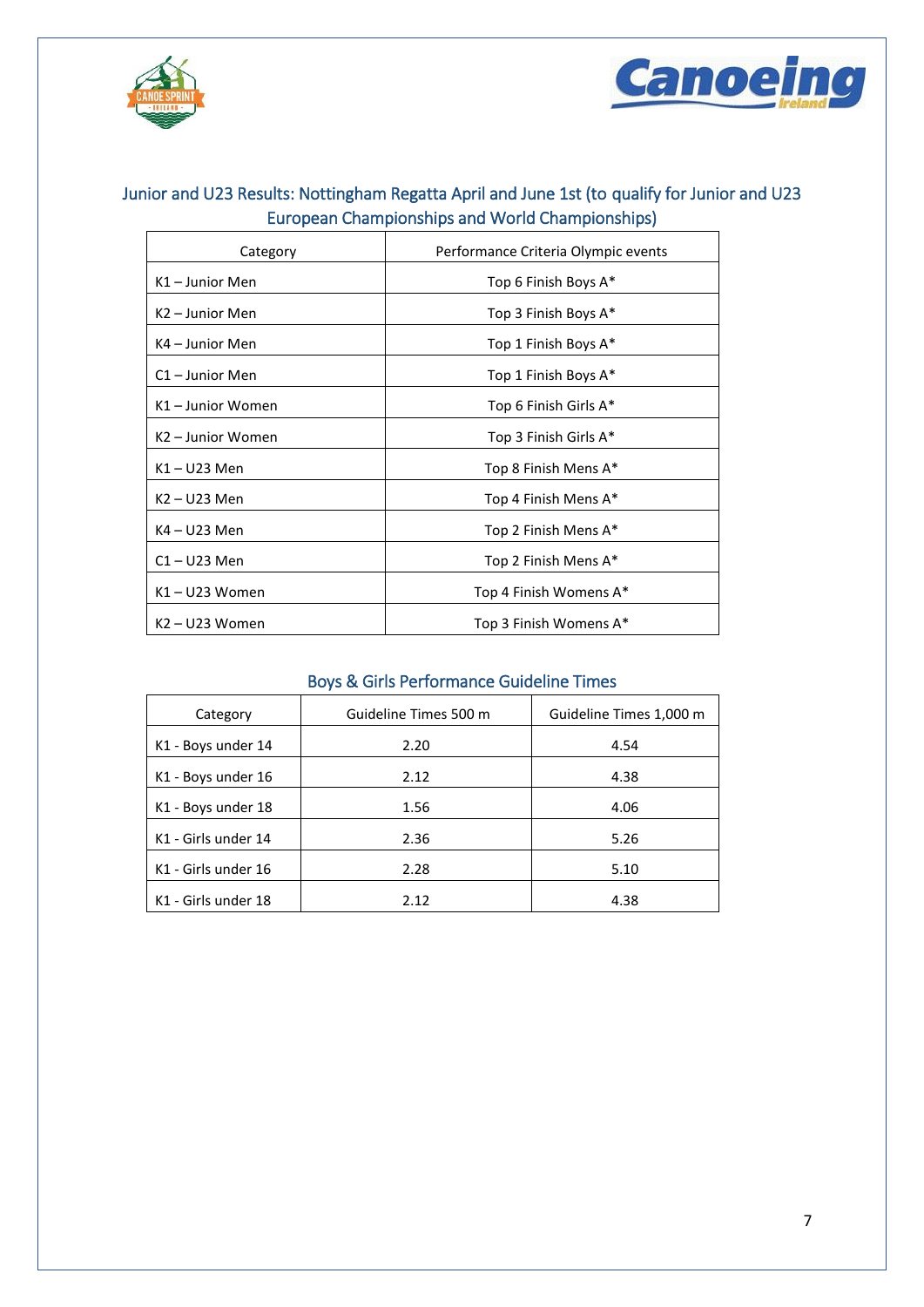



## <span id="page-7-0"></span>Junior and U23 Results: Nottingham Regatta April and June 1st (to qualify for Junior and U23 European Championships and World Championships)

| Category          | Performance Criteria Olympic events |
|-------------------|-------------------------------------|
| K1 - Junior Men   | Top 6 Finish Boys A*                |
| K2 – Junior Men   | Top 3 Finish Boys A*                |
| K4 – Junior Men   | Top 1 Finish Boys A*                |
| C1-Junior Men     | Top 1 Finish Boys A*                |
| K1 - Junior Women | Top 6 Finish Girls A*               |
| K2 - Junior Women | Top 3 Finish Girls A*               |
| K1-U23 Men        | Top 8 Finish Mens A*                |
| K2 – U23 Men      | Top 4 Finish Mens A*                |
| K4 – U23 Men      | Top 2 Finish Mens A*                |
| $C1 - U23$ Men    | Top 2 Finish Mens A*                |
| K1-U23 Women      | Top 4 Finish Womens A*              |
| K2 - U23 Women    | Top 3 Finish Womens A*              |

## Boys & Girls Performance Guideline Times

<span id="page-7-1"></span>

| Category            | Guideline Times 500 m | Guideline Times 1,000 m |
|---------------------|-----------------------|-------------------------|
| K1 - Boys under 14  | 2.20                  | 4.54                    |
| K1 - Boys under 16  | 2.12                  | 4.38                    |
| K1 - Boys under 18  | 1.56                  | 4.06                    |
| K1 - Girls under 14 | 2.36                  | 5.26                    |
| K1 - Girls under 16 | 2.28                  | 5.10                    |
| K1 - Girls under 18 | 2.12                  | 4.38                    |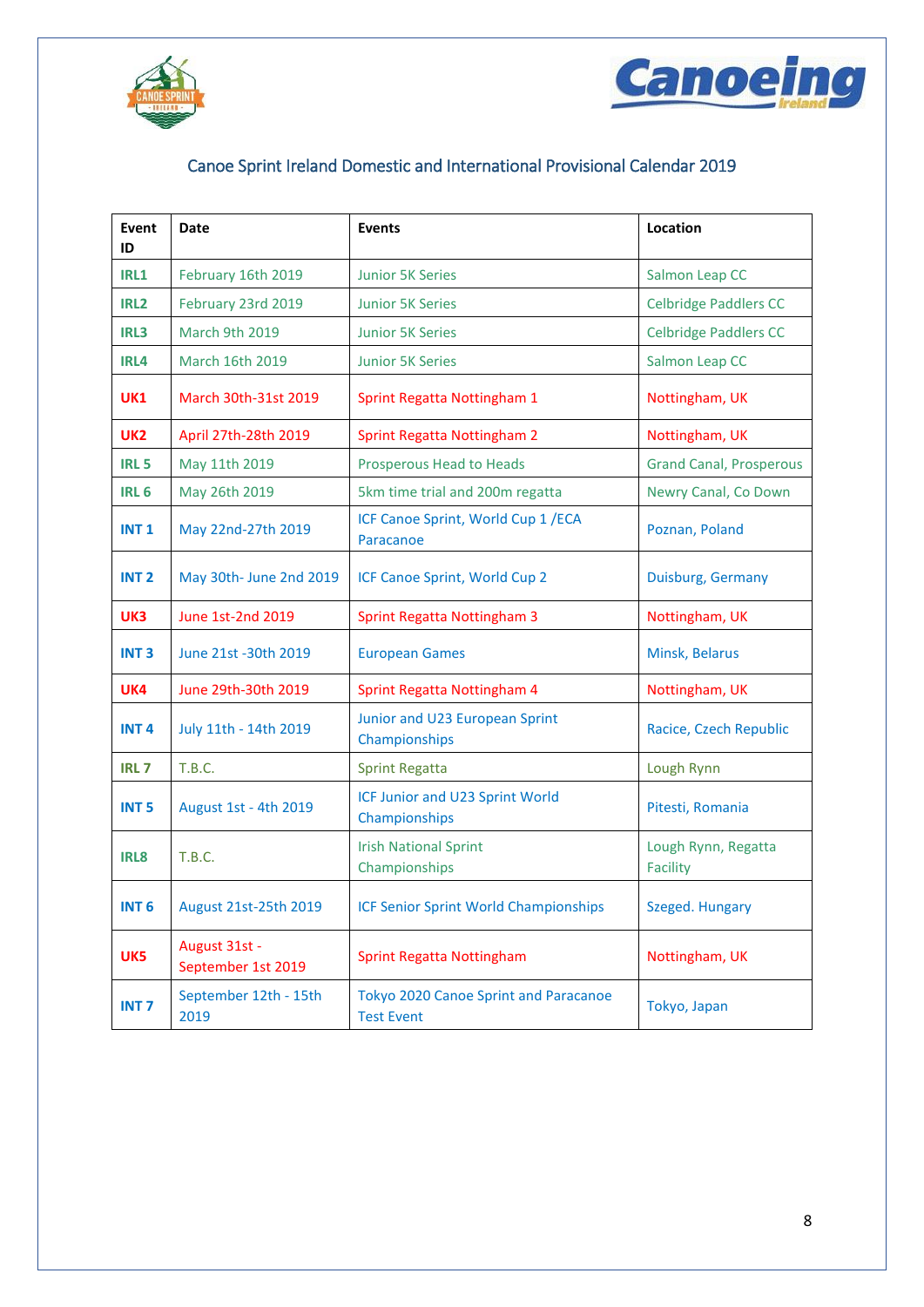



## Canoe Sprint Ireland Domestic and International Provisional Calendar 2019

<span id="page-8-0"></span>

| Event<br>ID      | Date                                | <b>Events</b>                                              | Location                               |
|------------------|-------------------------------------|------------------------------------------------------------|----------------------------------------|
| IRL1             | February 16th 2019                  | <b>Junior 5K Series</b>                                    | Salmon Leap CC                         |
| IRL <sub>2</sub> | February 23rd 2019                  | <b>Junior 5K Series</b>                                    | <b>Celbridge Paddlers CC</b>           |
| IRL3             | March 9th 2019                      | <b>Junior 5K Series</b>                                    | <b>Celbridge Paddlers CC</b>           |
| IRL4             | March 16th 2019                     | <b>Junior 5K Series</b>                                    | Salmon Leap CC                         |
| <b>UK1</b>       | March 30th-31st 2019                | Sprint Regatta Nottingham 1                                | Nottingham, UK                         |
| UK <sub>2</sub>  | April 27th-28th 2019                | <b>Sprint Regatta Nottingham 2</b>                         | Nottingham, UK                         |
| IRL <sub>5</sub> | May 11th 2019                       | Prosperous Head to Heads                                   | <b>Grand Canal, Prosperous</b>         |
| <b>IRL 6</b>     | May 26th 2019                       | 5km time trial and 200m regatta                            | Newry Canal, Co Down                   |
| <b>INT1</b>      | May 22nd-27th 2019                  | ICF Canoe Sprint, World Cup 1 / ECA<br>Paracanoe           | Poznan, Poland                         |
| INT <sub>2</sub> | May 30th- June 2nd 2019             | ICF Canoe Sprint, World Cup 2                              | Duisburg, Germany                      |
| UK3              | June 1st-2nd 2019                   | <b>Sprint Regatta Nottingham 3</b>                         | Nottingham, UK                         |
| <b>INT3</b>      | June 21st -30th 2019                | <b>European Games</b>                                      | Minsk, Belarus                         |
| UK4              | June 29th-30th 2019                 | Sprint Regatta Nottingham 4                                | Nottingham, UK                         |
| INT <sub>4</sub> | July 11th - 14th 2019               | Junior and U23 European Sprint<br>Championships            | Racice, Czech Republic                 |
| <b>IRL7</b>      | T.B.C.                              | <b>Sprint Regatta</b>                                      | Lough Rynn                             |
| <b>INT 5</b>     | August 1st - 4th 2019               | ICF Junior and U23 Sprint World<br>Championships           | Pitesti, Romania                       |
| IRL <sub>8</sub> | <b>T.B.C.</b>                       | <b>Irish National Sprint</b><br>Championships              | Lough Rynn, Regatta<br><b>Facility</b> |
| INT <sub>6</sub> | August 21st-25th 2019               | <b>ICF Senior Sprint World Championships</b>               | Szeged. Hungary                        |
| UK5              | August 31st -<br>September 1st 2019 | <b>Sprint Regatta Nottingham</b>                           | Nottingham, UK                         |
| <b>INT 7</b>     | September 12th - 15th<br>2019       | Tokyo 2020 Canoe Sprint and Paracanoe<br><b>Test Event</b> | Tokyo, Japan                           |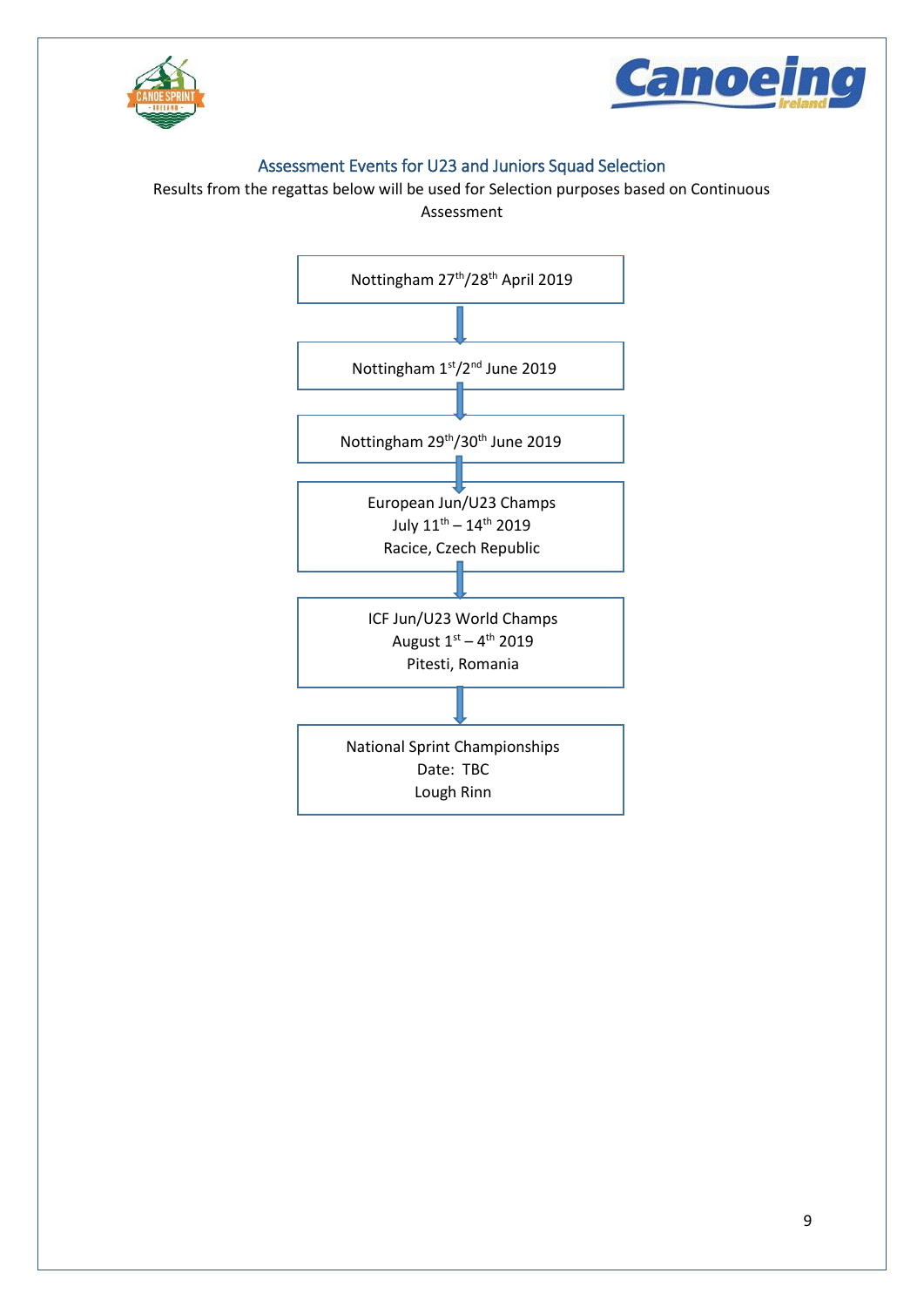



## Assessment Events for U23 and Juniors Squad Selection

<span id="page-9-0"></span>Results from the regattas below will be used for Selection purposes based on Continuous

Assessment

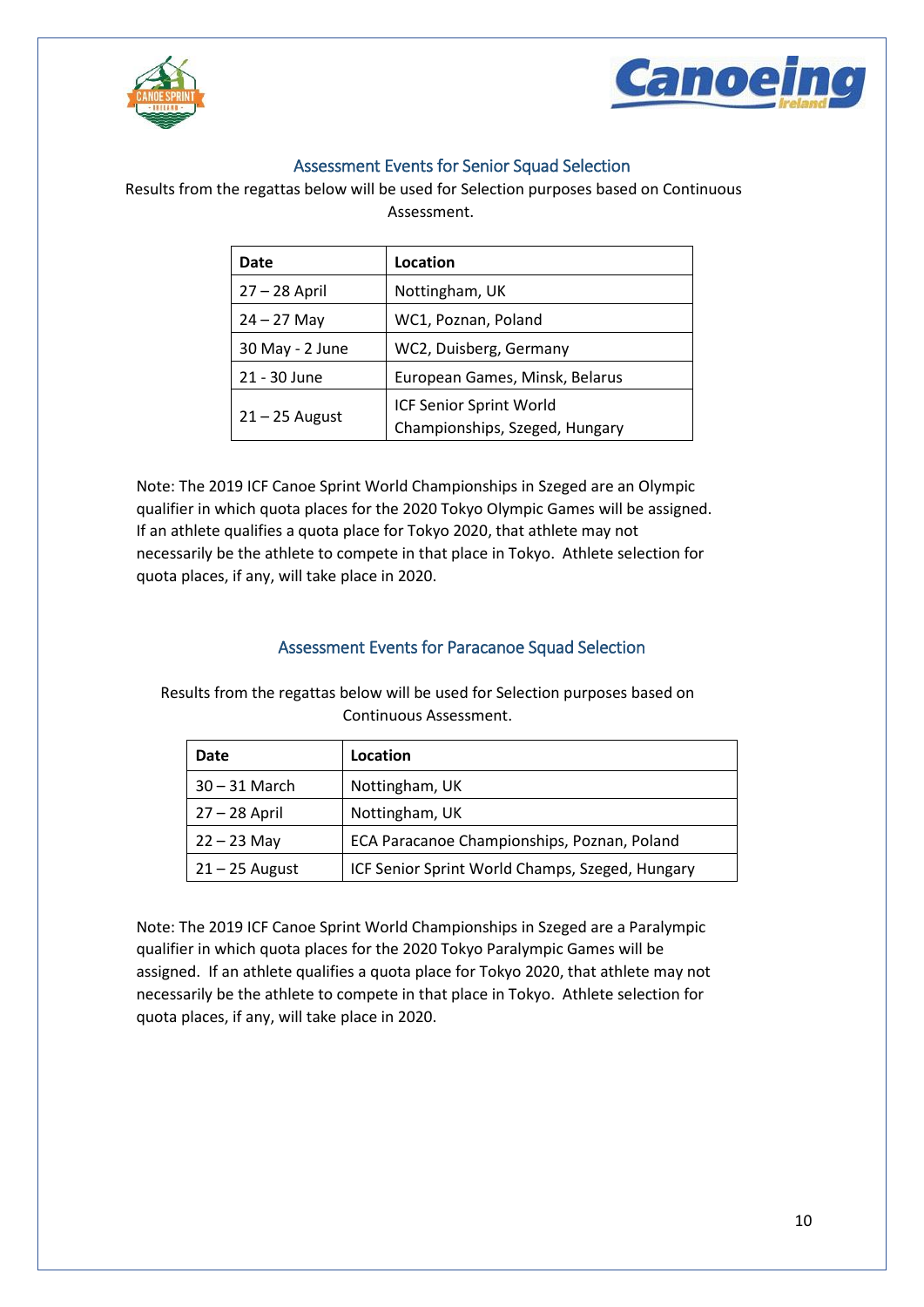



## Assessment Events for Senior Squad Selection

<span id="page-10-0"></span>Results from the regattas below will be used for Selection purposes based on Continuous

Assessment.

| Date             | Location                                                  |
|------------------|-----------------------------------------------------------|
| $27 - 28$ April  | Nottingham, UK                                            |
| $24 - 27$ May    | WC1, Poznan, Poland                                       |
| 30 May - 2 June  | WC2, Duisberg, Germany                                    |
| 21 - 30 June     | European Games, Minsk, Belarus                            |
| $21 - 25$ August | ICF Senior Sprint World<br>Championships, Szeged, Hungary |

Note: The 2019 ICF Canoe Sprint World Championships in Szeged are an Olympic qualifier in which quota places for the 2020 Tokyo Olympic Games will be assigned. If an athlete qualifies a quota place for Tokyo 2020, that athlete may not necessarily be the athlete to compete in that place in Tokyo. Athlete selection for quota places, if any, will take place in 2020.

## Assessment Events for Paracanoe Squad Selection

<span id="page-10-1"></span>Results from the regattas below will be used for Selection purposes based on Continuous Assessment.

| Date             | Location                                        |
|------------------|-------------------------------------------------|
| 30 – 31 March    | Nottingham, UK                                  |
| 27 – 28 April    | Nottingham, UK                                  |
| $22 - 23$ May    | ECA Paracanoe Championships, Poznan, Poland     |
| $21 - 25$ August | ICF Senior Sprint World Champs, Szeged, Hungary |

Note: The 2019 ICF Canoe Sprint World Championships in Szeged are a Paralympic qualifier in which quota places for the 2020 Tokyo Paralympic Games will be assigned. If an athlete qualifies a quota place for Tokyo 2020, that athlete may not necessarily be the athlete to compete in that place in Tokyo. Athlete selection for quota places, if any, will take place in 2020.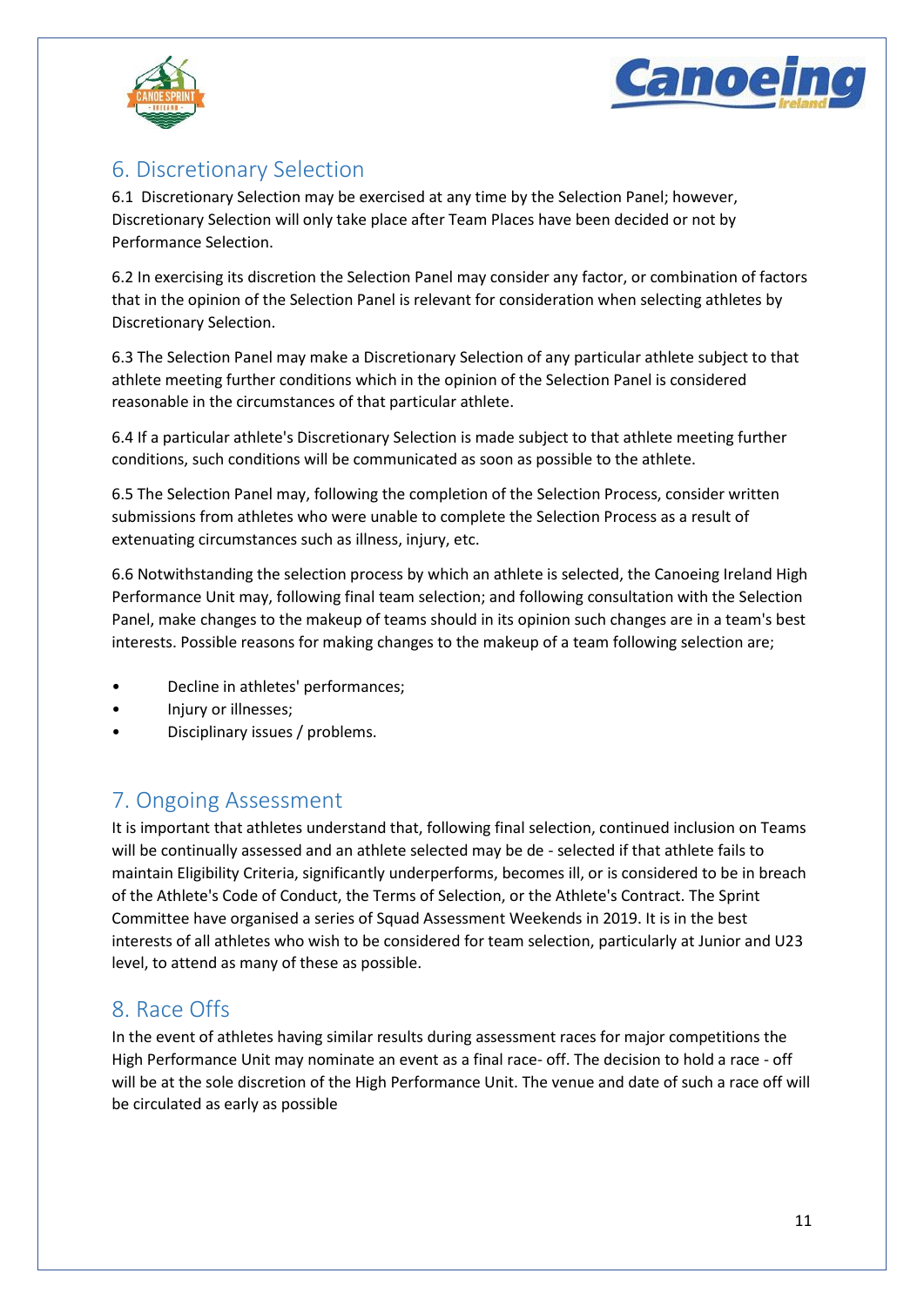



## <span id="page-11-0"></span>6. Discretionary Selection

6.1 Discretionary Selection may be exercised at any time by the Selection Panel; however, Discretionary Selection will only take place after Team Places have been decided or not by Performance Selection.

6.2 In exercising its discretion the Selection Panel may consider any factor, or combination of factors that in the opinion of the Selection Panel is relevant for consideration when selecting athletes by Discretionary Selection.

6.3 The Selection Panel may make a Discretionary Selection of any particular athlete subject to that athlete meeting further conditions which in the opinion of the Selection Panel is considered reasonable in the circumstances of that particular athlete.

6.4 If a particular athlete's Discretionary Selection is made subject to that athlete meeting further conditions, such conditions will be communicated as soon as possible to the athlete.

6.5 The Selection Panel may, following the completion of the Selection Process, consider written submissions from athletes who were unable to complete the Selection Process as a result of extenuating circumstances such as illness, injury, etc.

6.6 Notwithstanding the selection process by which an athlete is selected, the Canoeing Ireland High Performance Unit may, following final team selection; and following consultation with the Selection Panel, make changes to the makeup of teams should in its opinion such changes are in a team's best interests. Possible reasons for making changes to the makeup of a team following selection are;

- Decline in athletes' performances;
- Injury or illnesses;
- Disciplinary issues / problems.

## <span id="page-11-1"></span>7. Ongoing Assessment

It is important that athletes understand that, following final selection, continued inclusion on Teams will be continually assessed and an athlete selected may be de - selected if that athlete fails to maintain Eligibility Criteria, significantly underperforms, becomes ill, or is considered to be in breach of the Athlete's Code of Conduct, the Terms of Selection, or the Athlete's Contract. The Sprint Committee have organised a series of Squad Assessment Weekends in 2019. It is in the best interests of all athletes who wish to be considered for team selection, particularly at Junior and U23 level, to attend as many of these as possible.

## <span id="page-11-2"></span>8. Race Offs

In the event of athletes having similar results during assessment races for major competitions the High Performance Unit may nominate an event as a final race- off. The decision to hold a race - off will be at the sole discretion of the High Performance Unit. The venue and date of such a race off will be circulated as early as possible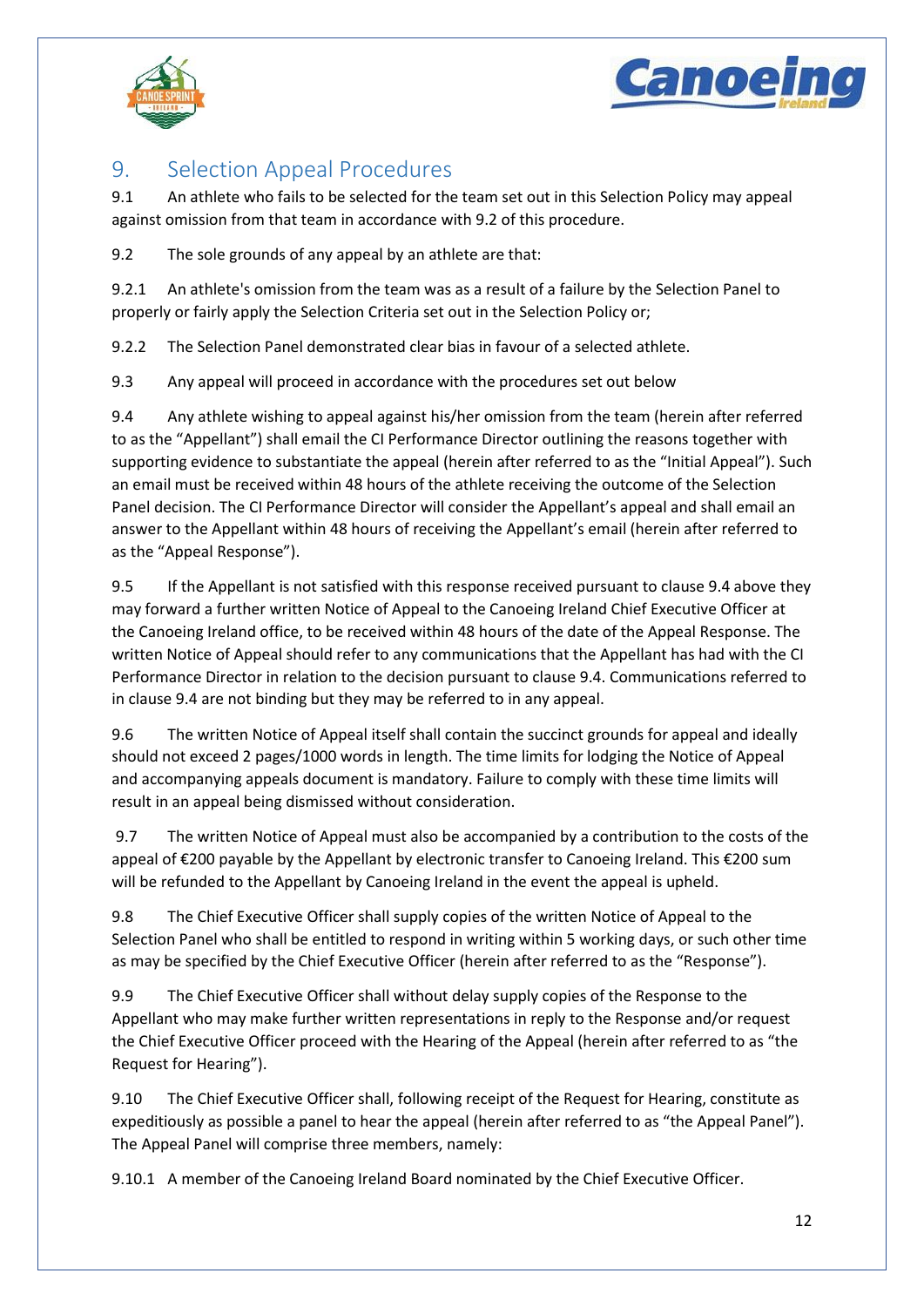



## <span id="page-12-0"></span>9. Selection Appeal Procedures

9.1 An athlete who fails to be selected for the team set out in this Selection Policy may appeal against omission from that team in accordance with 9.2 of this procedure.

9.2 The sole grounds of any appeal by an athlete are that:

9.2.1 An athlete's omission from the team was as a result of a failure by the Selection Panel to properly or fairly apply the Selection Criteria set out in the Selection Policy or;

9.2.2 The Selection Panel demonstrated clear bias in favour of a selected athlete.

9.3 Any appeal will proceed in accordance with the procedures set out below

9.4 Any athlete wishing to appeal against his/her omission from the team (herein after referred to as the "Appellant") shall email the CI Performance Director outlining the reasons together with supporting evidence to substantiate the appeal (herein after referred to as the "Initial Appeal"). Such an email must be received within 48 hours of the athlete receiving the outcome of the Selection Panel decision. The CI Performance Director will consider the Appellant's appeal and shall email an answer to the Appellant within 48 hours of receiving the Appellant's email (herein after referred to as the "Appeal Response").

9.5 If the Appellant is not satisfied with this response received pursuant to clause 9.4 above they may forward a further written Notice of Appeal to the Canoeing Ireland Chief Executive Officer at the Canoeing Ireland office, to be received within 48 hours of the date of the Appeal Response. The written Notice of Appeal should refer to any communications that the Appellant has had with the CI Performance Director in relation to the decision pursuant to clause 9.4. Communications referred to in clause 9.4 are not binding but they may be referred to in any appeal.

9.6 The written Notice of Appeal itself shall contain the succinct grounds for appeal and ideally should not exceed 2 pages/1000 words in length. The time limits for lodging the Notice of Appeal and accompanying appeals document is mandatory. Failure to comply with these time limits will result in an appeal being dismissed without consideration.

9.7 The written Notice of Appeal must also be accompanied by a contribution to the costs of the appeal of €200 payable by the Appellant by electronic transfer to Canoeing Ireland. This €200 sum will be refunded to the Appellant by Canoeing Ireland in the event the appeal is upheld.

9.8 The Chief Executive Officer shall supply copies of the written Notice of Appeal to the Selection Panel who shall be entitled to respond in writing within 5 working days, or such other time as may be specified by the Chief Executive Officer (herein after referred to as the "Response").

9.9 The Chief Executive Officer shall without delay supply copies of the Response to the Appellant who may make further written representations in reply to the Response and/or request the Chief Executive Officer proceed with the Hearing of the Appeal (herein after referred to as "the Request for Hearing").

9.10 The Chief Executive Officer shall, following receipt of the Request for Hearing, constitute as expeditiously as possible a panel to hear the appeal (herein after referred to as "the Appeal Panel"). The Appeal Panel will comprise three members, namely:

9.10.1 A member of the Canoeing Ireland Board nominated by the Chief Executive Officer.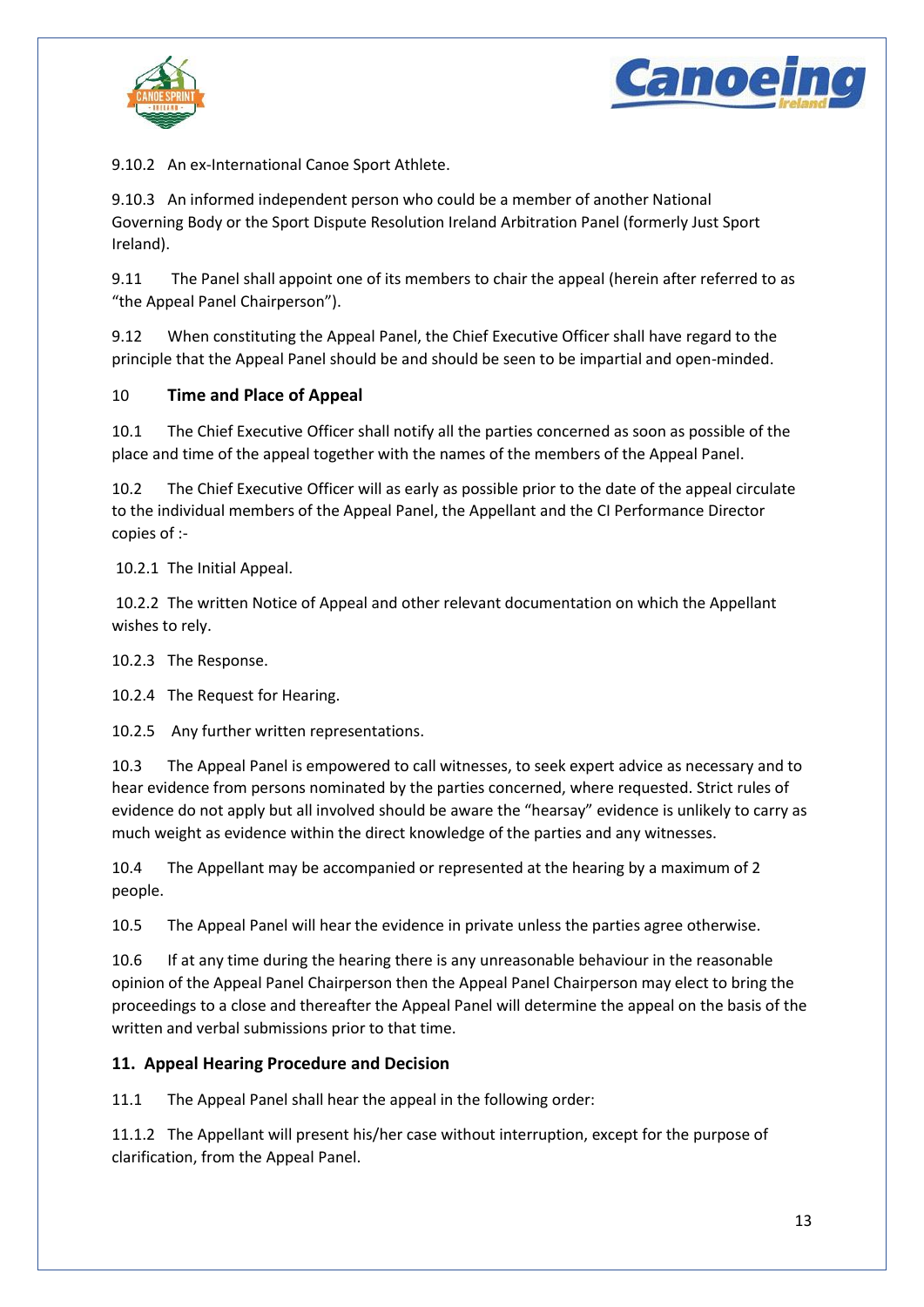



9.10.2 An ex-International Canoe Sport Athlete.

9.10.3 An informed independent person who could be a member of another National Governing Body or the Sport Dispute Resolution Ireland Arbitration Panel (formerly Just Sport Ireland).

9.11 The Panel shall appoint one of its members to chair the appeal (herein after referred to as "the Appeal Panel Chairperson").

9.12 When constituting the Appeal Panel, the Chief Executive Officer shall have regard to the principle that the Appeal Panel should be and should be seen to be impartial and open-minded.

## 10 **Time and Place of Appeal**

10.1 The Chief Executive Officer shall notify all the parties concerned as soon as possible of the place and time of the appeal together with the names of the members of the Appeal Panel.

10.2 The Chief Executive Officer will as early as possible prior to the date of the appeal circulate to the individual members of the Appeal Panel, the Appellant and the CI Performance Director copies of :-

10.2.1 The Initial Appeal.

10.2.2 The written Notice of Appeal and other relevant documentation on which the Appellant wishes to rely.

10.2.3 The Response.

10.2.4 The Request for Hearing.

10.2.5 Any further written representations.

10.3 The Appeal Panel is empowered to call witnesses, to seek expert advice as necessary and to hear evidence from persons nominated by the parties concerned, where requested. Strict rules of evidence do not apply but all involved should be aware the "hearsay" evidence is unlikely to carry as much weight as evidence within the direct knowledge of the parties and any witnesses.

10.4 The Appellant may be accompanied or represented at the hearing by a maximum of 2 people.

10.5 The Appeal Panel will hear the evidence in private unless the parties agree otherwise.

10.6 If at any time during the hearing there is any unreasonable behaviour in the reasonable opinion of the Appeal Panel Chairperson then the Appeal Panel Chairperson may elect to bring the proceedings to a close and thereafter the Appeal Panel will determine the appeal on the basis of the written and verbal submissions prior to that time.

## **11. Appeal Hearing Procedure and Decision**

11.1 The Appeal Panel shall hear the appeal in the following order:

11.1.2 The Appellant will present his/her case without interruption, except for the purpose of clarification, from the Appeal Panel.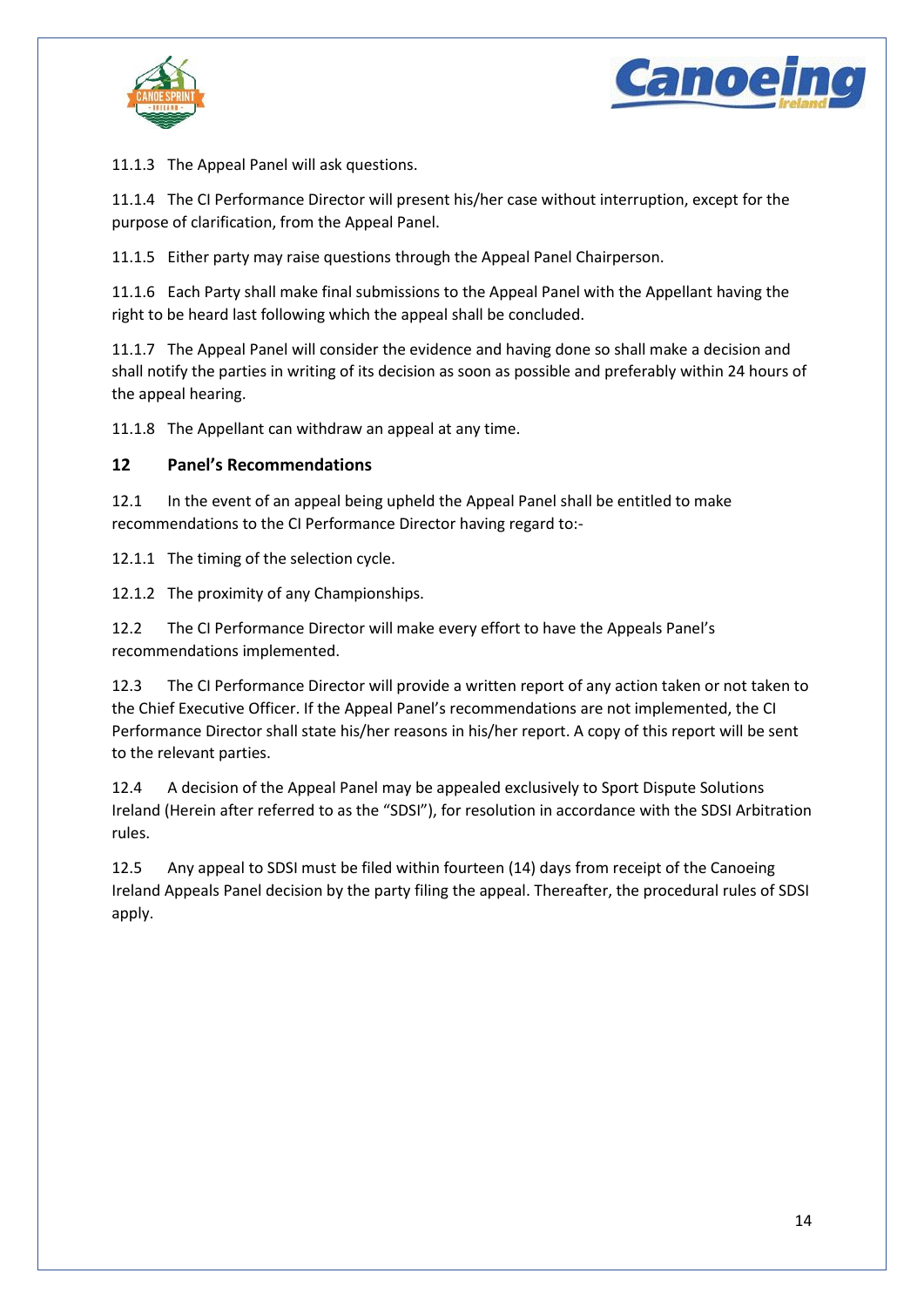



11.1.3 The Appeal Panel will ask questions.

11.1.4 The CI Performance Director will present his/her case without interruption, except for the purpose of clarification, from the Appeal Panel.

11.1.5 Either party may raise questions through the Appeal Panel Chairperson.

11.1.6 Each Party shall make final submissions to the Appeal Panel with the Appellant having the right to be heard last following which the appeal shall be concluded.

11.1.7 The Appeal Panel will consider the evidence and having done so shall make a decision and shall notify the parties in writing of its decision as soon as possible and preferably within 24 hours of the appeal hearing.

11.1.8 The Appellant can withdraw an appeal at any time.

## **12 Panel's Recommendations**

12.1 In the event of an appeal being upheld the Appeal Panel shall be entitled to make recommendations to the CI Performance Director having regard to:-

12.1.1 The timing of the selection cycle.

12.1.2 The proximity of any Championships.

12.2 The CI Performance Director will make every effort to have the Appeals Panel's recommendations implemented.

12.3 The CI Performance Director will provide a written report of any action taken or not taken to the Chief Executive Officer. If the Appeal Panel's recommendations are not implemented, the CI Performance Director shall state his/her reasons in his/her report. A copy of this report will be sent to the relevant parties.

12.4 A decision of the Appeal Panel may be appealed exclusively to Sport Dispute Solutions Ireland (Herein after referred to as the "SDSI"), for resolution in accordance with the SDSI Arbitration rules.

12.5 Any appeal to SDSI must be filed within fourteen (14) days from receipt of the Canoeing Ireland Appeals Panel decision by the party filing the appeal. Thereafter, the procedural rules of SDSI apply.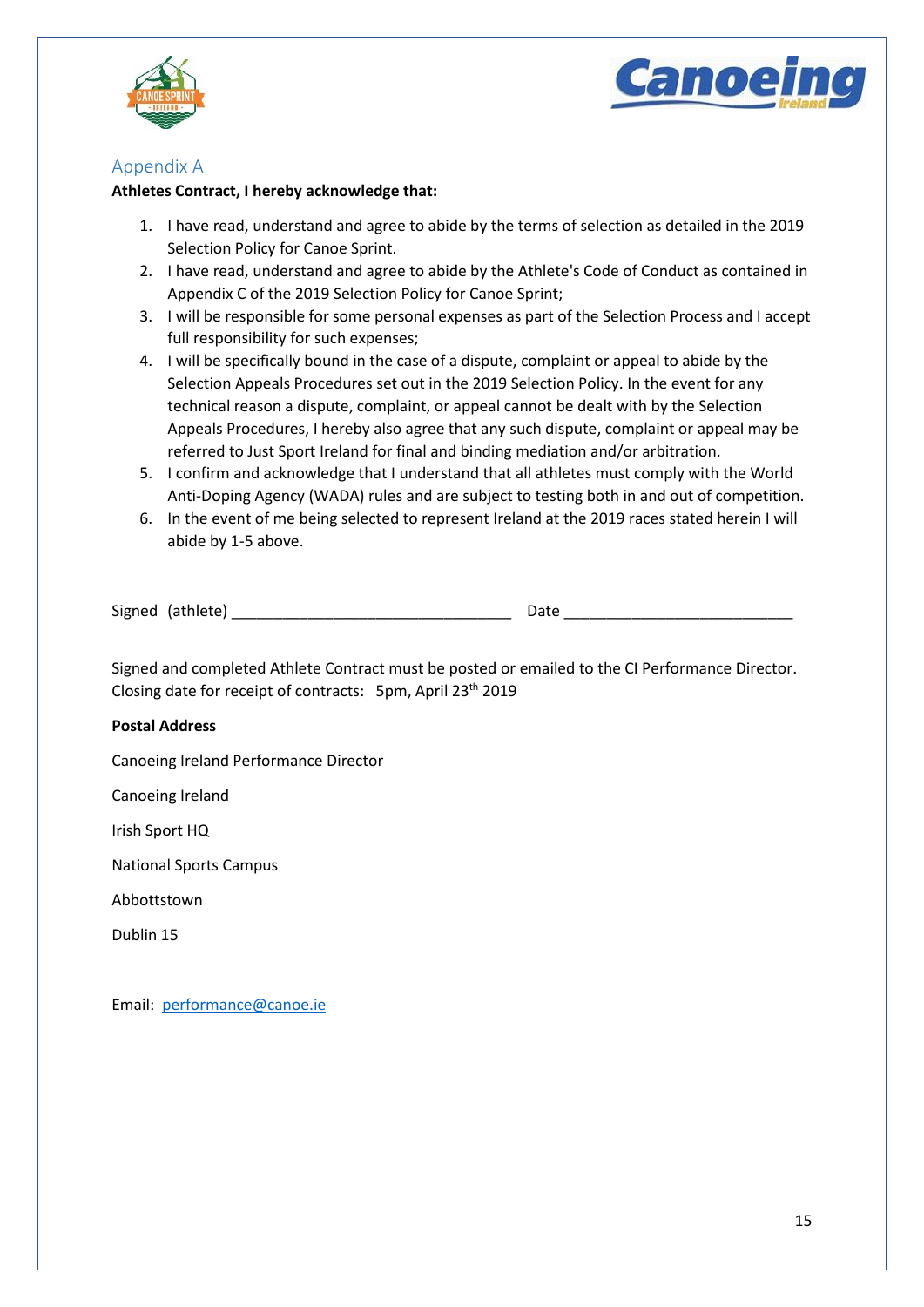



## <span id="page-15-0"></span>Appendix A

#### **Athletes Contract, I hereby acknowledge that:**

- 1. I have read, understand and agree to abide by the terms of selection as detailed in the 2019 Selection Policy for Canoe Sprint.
- 2. I have read, understand and agree to abide by the Athlete's Code of Conduct as contained in Appendix C of the 2019 Selection Policy for Canoe Sprint;
- 3. I will be responsible for some personal expenses as part of the Selection Process and I accept full responsibility for such expenses;
- 4. I will be specifically bound in the case of a dispute, complaint or appeal to abide by the Selection Appeals Procedures set out in the 2019 Selection Policy. In the event for any technical reason a dispute, complaint, or appeal cannot be dealt with by the Selection Appeals Procedures, I hereby also agree that any such dispute, complaint or appeal may be referred to Just Sport Ireland for final and binding mediation and/or arbitration.
- 5. I confirm and acknowledge that I understand that all athletes must comply with the World Anti-Doping Agency (WADA) rules and are subject to testing both in and out of competition.
- 6. In the event of me being selected to represent Ireland at the 2019 races stated herein I will abide by 1-5 above.

Signed (athlete) \_\_\_\_\_\_\_\_\_\_\_\_\_\_\_\_\_\_\_\_\_\_\_\_\_\_\_\_\_\_\_\_\_ Date \_\_\_\_\_\_\_\_\_\_\_\_\_\_\_\_\_\_\_\_\_\_\_\_\_\_\_

Signed and completed Athlete Contract must be posted or emailed to the CI Performance Director. Closing date for receipt of contracts: 5pm, April 23th 2019

#### **Postal Address**

Canoeing Ireland Performance Director

Canoeing Ireland

Irish Sport HQ

National Sports Campus

Abbottstown

Dublin 15

Email: [performance@canoe.ie](mailto:performance@canoe.ie)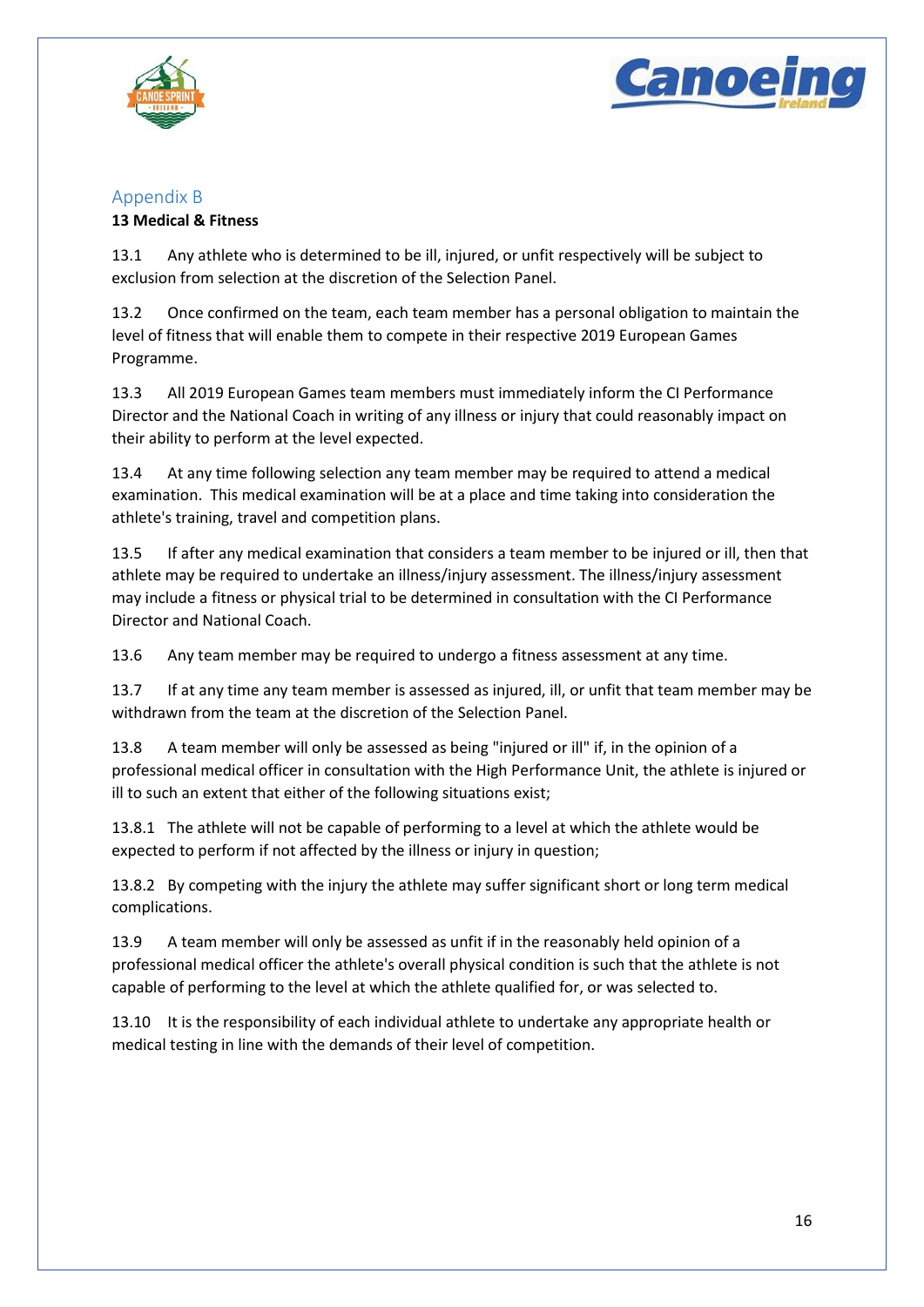



## <span id="page-16-0"></span>Appendix B

## **13 Medical & Fitness**

13.1 Any athlete who is determined to be ill, injured, or unfit respectively will be subject to exclusion from selection at the discretion of the Selection Panel.

13.2 Once confirmed on the team, each team member has a personal obligation to maintain the level of fitness that will enable them to compete in their respective 2019 European Games Programme.

13.3 All 2019 European Games team members must immediately inform the CI Performance Director and the National Coach in writing of any illness or injury that could reasonably impact on their ability to perform at the level expected.

13.4 At any time following selection any team member may be required to attend a medical examination. This medical examination will be at a place and time taking into consideration the athlete's training, travel and competition plans.

13.5 If after any medical examination that considers a team member to be injured or ill, then that athlete may be required to undertake an illness/injury assessment. The illness/injury assessment may include a fitness or physical trial to be determined in consultation with the CI Performance Director and National Coach.

13.6 Any team member may be required to undergo a fitness assessment at any time.

13.7 If at any time any team member is assessed as injured, ill, or unfit that team member may be withdrawn from the team at the discretion of the Selection Panel.

13.8 A team member will only be assessed as being "injured or ill" if, in the opinion of a professional medical officer in consultation with the High Performance Unit, the athlete is injured or ill to such an extent that either of the following situations exist;

13.8.1 The athlete will not be capable of performing to a level at which the athlete would be expected to perform if not affected by the illness or injury in question;

13.8.2 By competing with the injury the athlete may suffer significant short or long term medical complications.

13.9 A team member will only be assessed as unfit if in the reasonably held opinion of a professional medical officer the athlete's overall physical condition is such that the athlete is not capable of performing to the level at which the athlete qualified for, or was selected to.

13.10 It is the responsibility of each individual athlete to undertake any appropriate health or medical testing in line with the demands of their level of competition.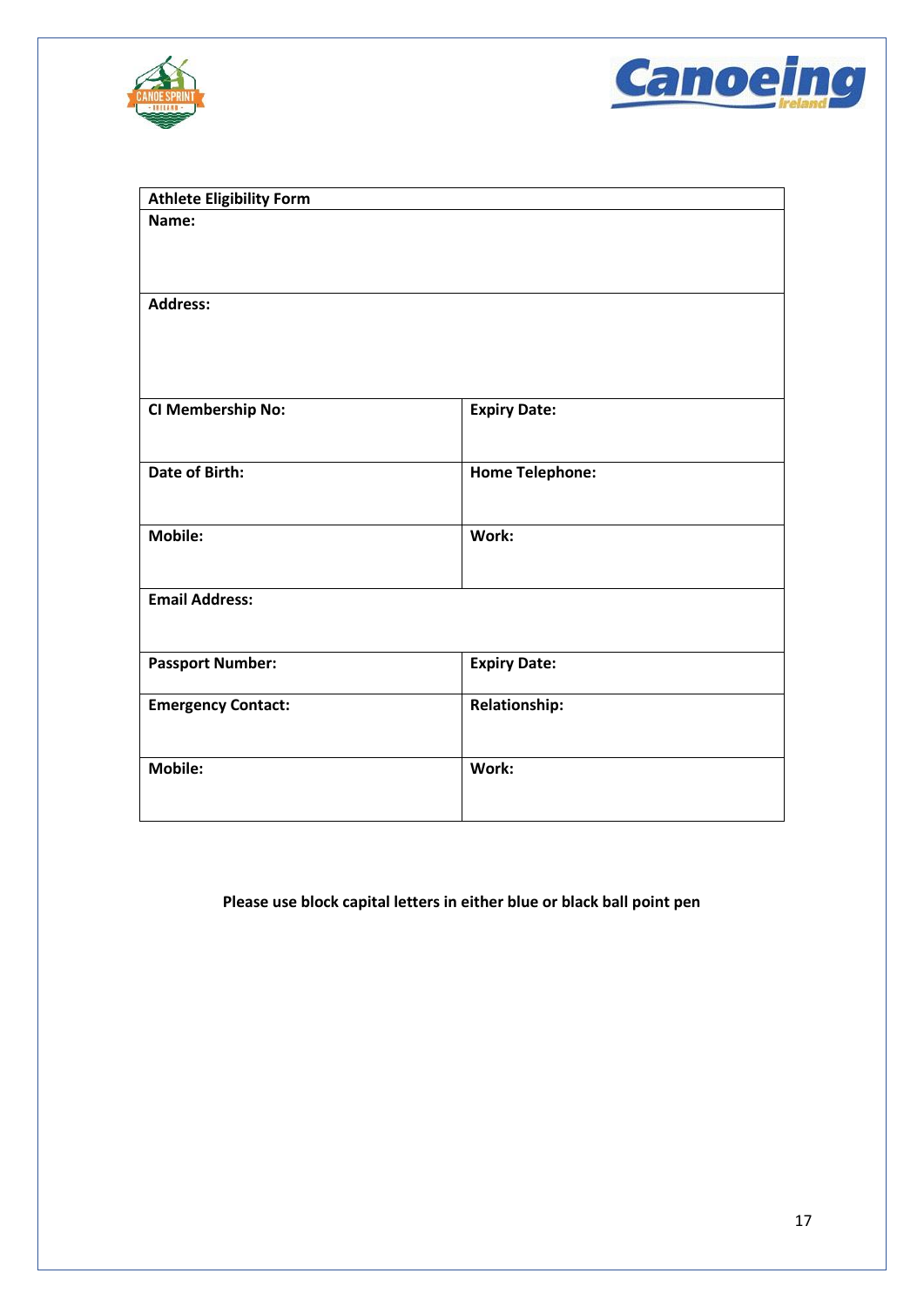



| <b>Athlete Eligibility Form</b> |                        |  |
|---------------------------------|------------------------|--|
| Name:                           |                        |  |
| <b>Address:</b>                 |                        |  |
| <b>CI Membership No:</b>        | <b>Expiry Date:</b>    |  |
| <b>Date of Birth:</b>           | <b>Home Telephone:</b> |  |
| Mobile:                         | Work:                  |  |
| <b>Email Address:</b>           |                        |  |
| <b>Passport Number:</b>         | <b>Expiry Date:</b>    |  |
| <b>Emergency Contact:</b>       | <b>Relationship:</b>   |  |
| <b>Mobile:</b>                  | Work:                  |  |

## **Please use block capital letters in either blue or black ball point pen**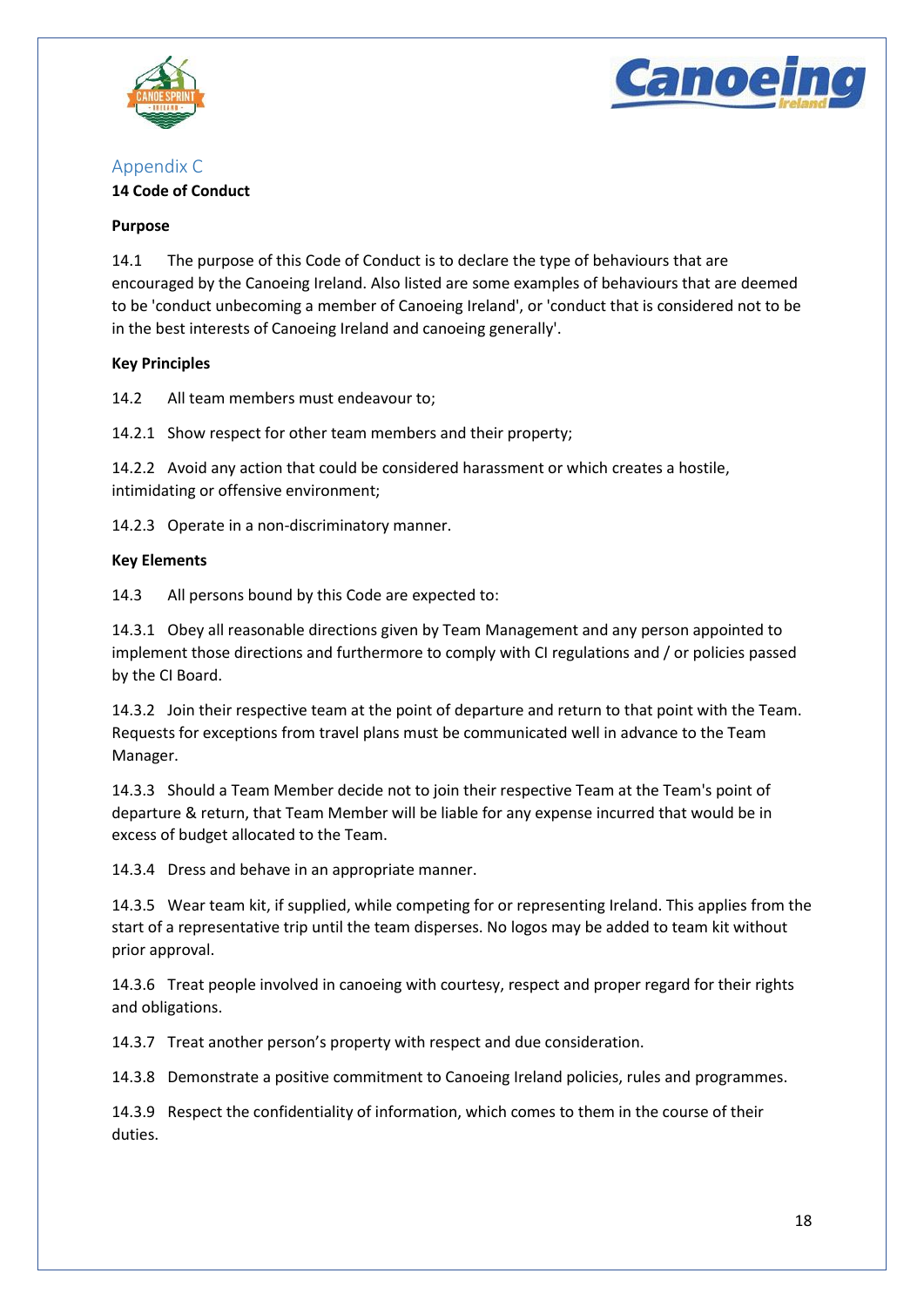![](_page_18_Picture_0.jpeg)

![](_page_18_Picture_1.jpeg)

## <span id="page-18-0"></span>Appendix C

#### **14 Code of Conduct**

#### **Purpose**

14.1 The purpose of this Code of Conduct is to declare the type of behaviours that are encouraged by the Canoeing Ireland. Also listed are some examples of behaviours that are deemed to be 'conduct unbecoming a member of Canoeing Ireland', or 'conduct that is considered not to be in the best interests of Canoeing Ireland and canoeing generally'.

## **Key Principles**

14.2 All team members must endeavour to;

14.2.1 Show respect for other team members and their property;

14.2.2 Avoid any action that could be considered harassment or which creates a hostile, intimidating or offensive environment;

14.2.3 Operate in a non-discriminatory manner.

#### **Key Elements**

14.3 All persons bound by this Code are expected to:

14.3.1 Obey all reasonable directions given by Team Management and any person appointed to implement those directions and furthermore to comply with CI regulations and / or policies passed by the CI Board.

14.3.2 Join their respective team at the point of departure and return to that point with the Team. Requests for exceptions from travel plans must be communicated well in advance to the Team Manager.

14.3.3 Should a Team Member decide not to join their respective Team at the Team's point of departure & return, that Team Member will be liable for any expense incurred that would be in excess of budget allocated to the Team.

14.3.4 Dress and behave in an appropriate manner.

14.3.5 Wear team kit, if supplied, while competing for or representing Ireland. This applies from the start of a representative trip until the team disperses. No logos may be added to team kit without prior approval.

14.3.6 Treat people involved in canoeing with courtesy, respect and proper regard for their rights and obligations.

14.3.7 Treat another person's property with respect and due consideration.

14.3.8 Demonstrate a positive commitment to Canoeing Ireland policies, rules and programmes.

14.3.9 Respect the confidentiality of information, which comes to them in the course of their duties.